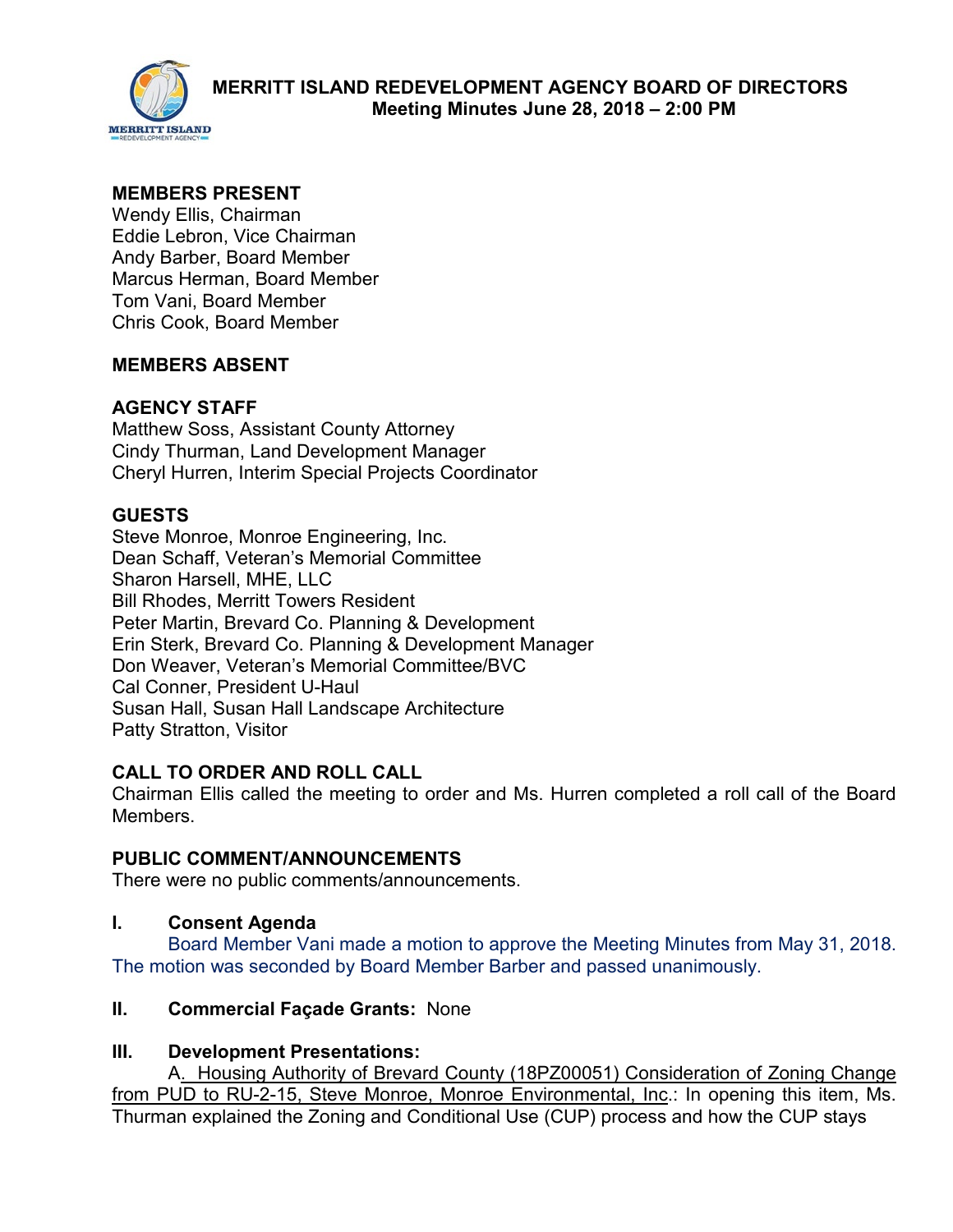

### **MEMBERS PRESENT**

Wendy Ellis, Chairman Eddie Lebron, Vice Chairman Andy Barber, Board Member Marcus Herman, Board Member Tom Vani, Board Member Chris Cook, Board Member

### **MEMBERS ABSENT**

## **AGENCY STAFF**

Matthew Soss, Assistant County Attorney Cindy Thurman, Land Development Manager Cheryl Hurren, Interim Special Projects Coordinator

# **GUESTS**

Steve Monroe, Monroe Engineering, Inc. Dean Schaff, Veteran's Memorial Committee Sharon Harsell, MHE, LLC Bill Rhodes, Merritt Towers Resident Peter Martin, Brevard Co. Planning & Development Erin Sterk, Brevard Co. Planning & Development Manager Don Weaver, Veteran's Memorial Committee/BVC Cal Conner, President U-Haul Susan Hall, Susan Hall Landscape Architecture Patty Stratton, Visitor

### **CALL TO ORDER AND ROLL CALL**

Chairman Ellis called the meeting to order and Ms. Hurren completed a roll call of the Board Members.

### **PUBLIC COMMENT/ANNOUNCEMENTS**

There were no public comments/announcements.

### **I. Consent Agenda**

Board Member Vani made a motion to approve the Meeting Minutes from May 31, 2018. The motion was seconded by Board Member Barber and passed unanimously.

### **II. Commercial Façade Grants:** None

### **III. Development Presentations:**

A. Housing Authority of Brevard County (18PZ00051) Consideration of Zoning Change from PUD to RU-2-15, Steve Monroe, Monroe Environmental, Inc.: In opening this item, Ms. Thurman explained the Zoning and Conditional Use (CUP) process and how the CUP stays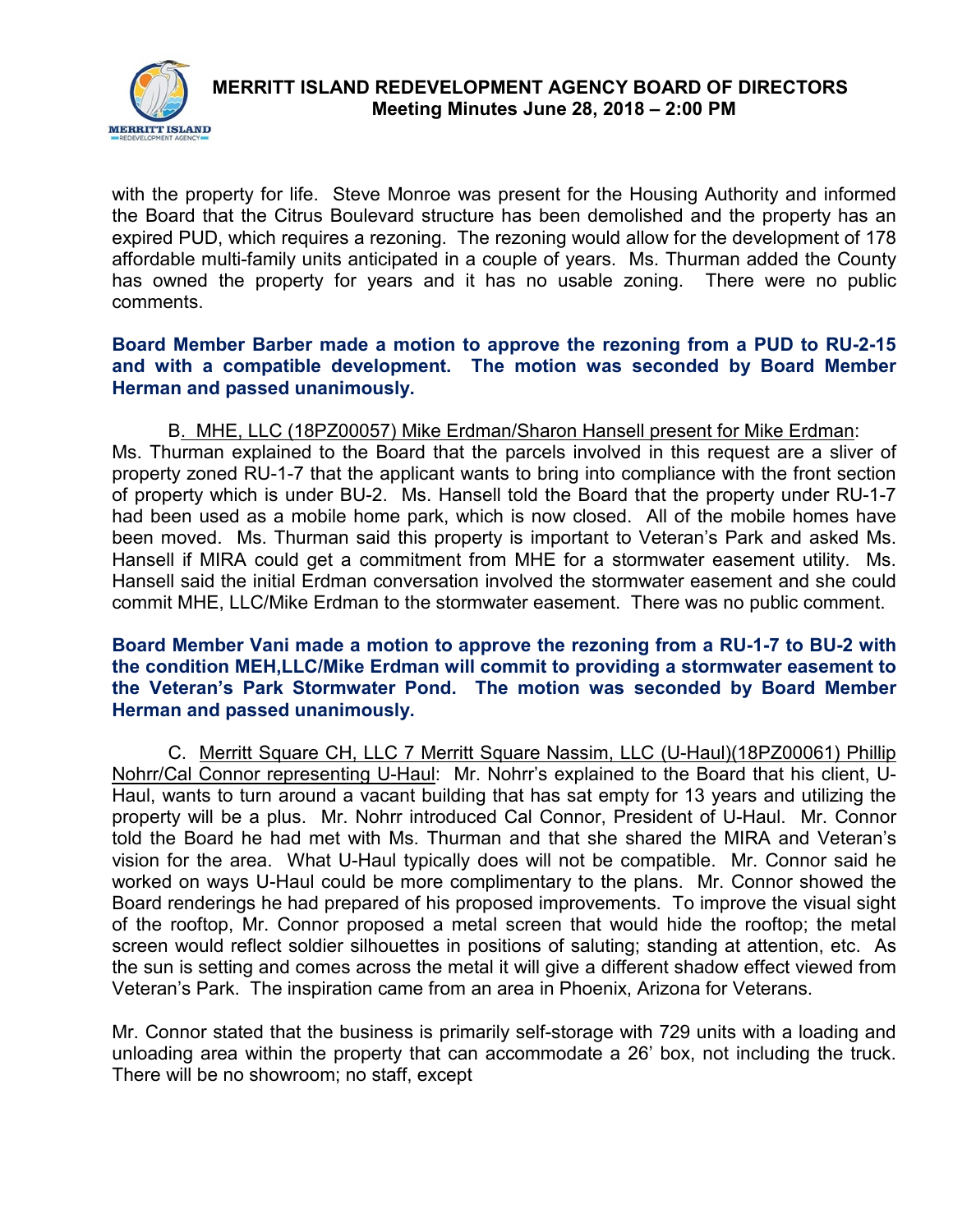

with the property for life. Steve Monroe was present for the Housing Authority and informed the Board that the Citrus Boulevard structure has been demolished and the property has an expired PUD, which requires a rezoning. The rezoning would allow for the development of 178 affordable multi-family units anticipated in a couple of years. Ms. Thurman added the County has owned the property for years and it has no usable zoning. There were no public comments.

#### **Board Member Barber made a motion to approve the rezoning from a PUD to RU-2-15 and with a compatible development. The motion was seconded by Board Member Herman and passed unanimously.**

 B. MHE, LLC (18PZ00057) Mike Erdman/Sharon Hansell present for Mike Erdman: Ms. Thurman explained to the Board that the parcels involved in this request are a sliver of property zoned RU-1-7 that the applicant wants to bring into compliance with the front section of property which is under BU-2. Ms. Hansell told the Board that the property under RU-1-7 had been used as a mobile home park, which is now closed. All of the mobile homes have been moved. Ms. Thurman said this property is important to Veteran's Park and asked Ms. Hansell if MIRA could get a commitment from MHE for a stormwater easement utility. Ms. Hansell said the initial Erdman conversation involved the stormwater easement and she could commit MHE, LLC/Mike Erdman to the stormwater easement. There was no public comment.

#### **Board Member Vani made a motion to approve the rezoning from a RU-1-7 to BU-2 with the condition MEH,LLC/Mike Erdman will commit to providing a stormwater easement to the Veteran's Park Stormwater Pond. The motion was seconded by Board Member Herman and passed unanimously.**

C. Merritt Square CH, LLC 7 Merritt Square Nassim, LLC (U-Haul)(18PZ00061) Phillip Nohrr/Cal Connor representing U-Haul: Mr. Nohrr's explained to the Board that his client, U-Haul, wants to turn around a vacant building that has sat empty for 13 years and utilizing the property will be a plus. Mr. Nohrr introduced Cal Connor, President of U-Haul. Mr. Connor told the Board he had met with Ms. Thurman and that she shared the MIRA and Veteran's vision for the area. What U-Haul typically does will not be compatible. Mr. Connor said he worked on ways U-Haul could be more complimentary to the plans. Mr. Connor showed the Board renderings he had prepared of his proposed improvements. To improve the visual sight of the rooftop, Mr. Connor proposed a metal screen that would hide the rooftop; the metal screen would reflect soldier silhouettes in positions of saluting; standing at attention, etc. As the sun is setting and comes across the metal it will give a different shadow effect viewed from Veteran's Park. The inspiration came from an area in Phoenix, Arizona for Veterans.

Mr. Connor stated that the business is primarily self-storage with 729 units with a loading and unloading area within the property that can accommodate a 26' box, not including the truck. There will be no showroom; no staff, except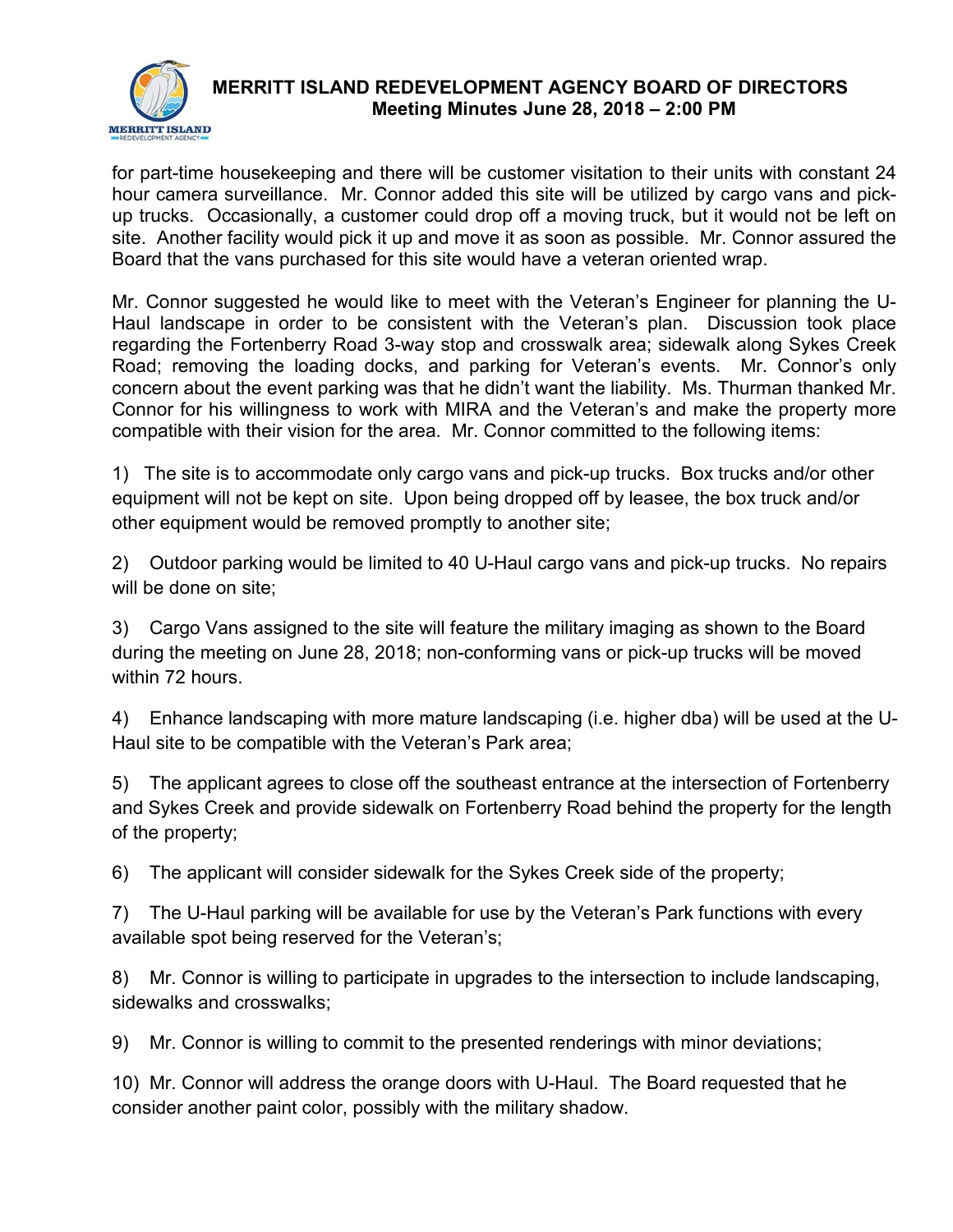

for part-time housekeeping and there will be customer visitation to their units with constant 24 hour camera surveillance. Mr. Connor added this site will be utilized by cargo vans and pickup trucks. Occasionally, a customer could drop off a moving truck, but it would not be left on site. Another facility would pick it up and move it as soon as possible. Mr. Connor assured the Board that the vans purchased for this site would have a veteran oriented wrap.

Mr. Connor suggested he would like to meet with the Veteran's Engineer for planning the U-Haul landscape in order to be consistent with the Veteran's plan. Discussion took place regarding the Fortenberry Road 3-way stop and crosswalk area; sidewalk along Sykes Creek Road; removing the loading docks, and parking for Veteran's events. Mr. Connor's only concern about the event parking was that he didn't want the liability. Ms. Thurman thanked Mr. Connor for his willingness to work with MIRA and the Veteran's and make the property more compatible with their vision for the area. Mr. Connor committed to the following items:

1) The site is to accommodate only cargo vans and pick-up trucks. Box trucks and/or other equipment will not be kept on site. Upon being dropped off by leasee, the box truck and/or other equipment would be removed promptly to another site;

2) Outdoor parking would be limited to 40 U-Haul cargo vans and pick-up trucks. No repairs will be done on site;

3) Cargo Vans assigned to the site will feature the military imaging as shown to the Board during the meeting on June 28, 2018; non-conforming vans or pick-up trucks will be moved within 72 hours.

4) Enhance landscaping with more mature landscaping (i.e. higher dba) will be used at the U-Haul site to be compatible with the Veteran's Park area;

5) The applicant agrees to close off the southeast entrance at the intersection of Fortenberry and Sykes Creek and provide sidewalk on Fortenberry Road behind the property for the length of the property;

6) The applicant will consider sidewalk for the Sykes Creek side of the property;

7) The U-Haul parking will be available for use by the Veteran's Park functions with every available spot being reserved for the Veteran's;

8) Mr. Connor is willing to participate in upgrades to the intersection to include landscaping, sidewalks and crosswalks;

9) Mr. Connor is willing to commit to the presented renderings with minor deviations;

10) Mr. Connor will address the orange doors with U-Haul. The Board requested that he consider another paint color, possibly with the military shadow.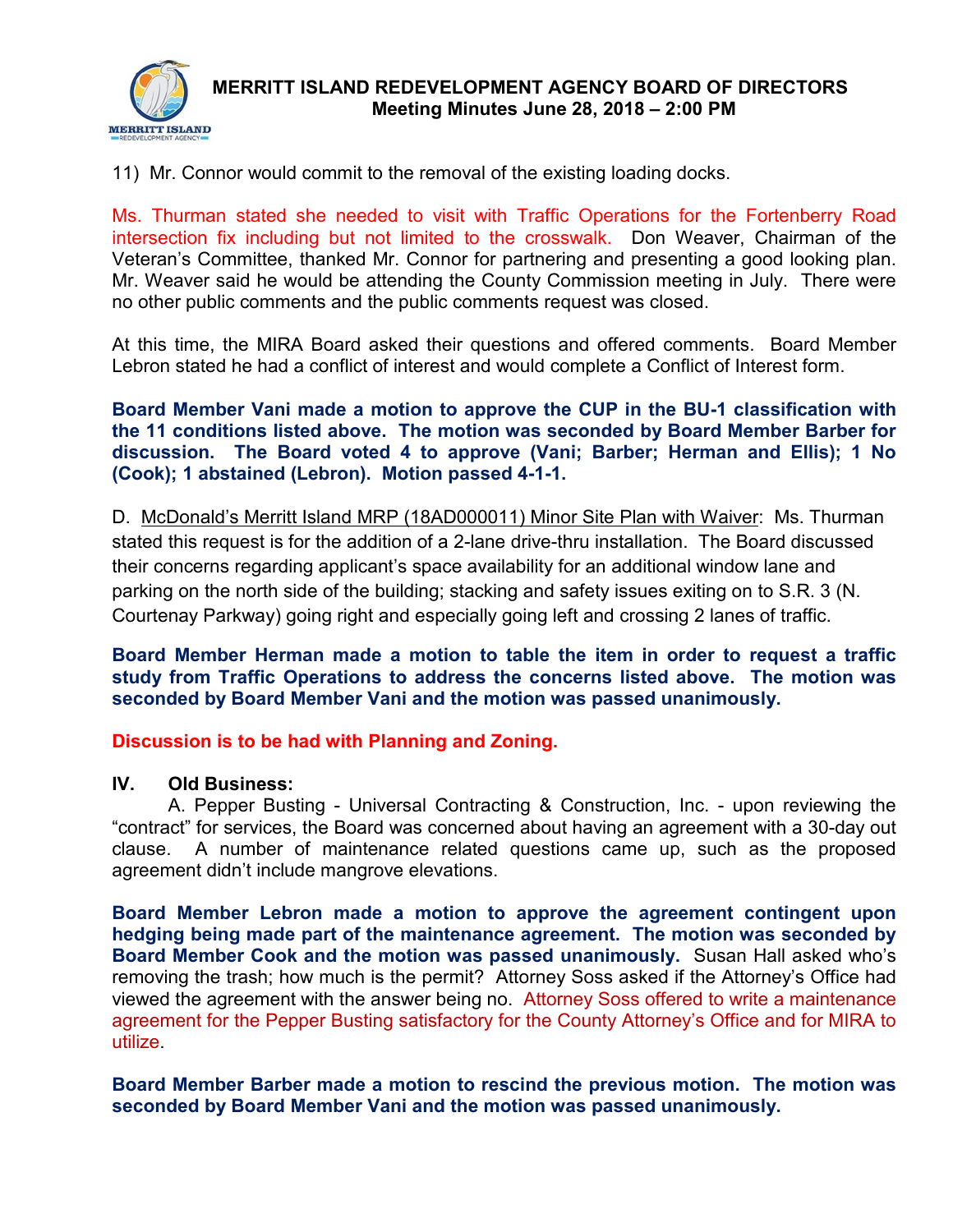

11) Mr. Connor would commit to the removal of the existing loading docks.

Ms. Thurman stated she needed to visit with Traffic Operations for the Fortenberry Road intersection fix including but not limited to the crosswalk. Don Weaver, Chairman of the Veteran's Committee, thanked Mr. Connor for partnering and presenting a good looking plan. Mr. Weaver said he would be attending the County Commission meeting in July. There were no other public comments and the public comments request was closed.

At this time, the MIRA Board asked their questions and offered comments. Board Member Lebron stated he had a conflict of interest and would complete a Conflict of Interest form.

**Board Member Vani made a motion to approve the CUP in the BU-1 classification with the 11 conditions listed above. The motion was seconded by Board Member Barber for discussion. The Board voted 4 to approve (Vani; Barber; Herman and Ellis); 1 No (Cook); 1 abstained (Lebron). Motion passed 4-1-1.** 

D. McDonald's Merritt Island MRP (18AD000011) Minor Site Plan with Waiver: Ms. Thurman stated this request is for the addition of a 2-lane drive-thru installation. The Board discussed their concerns regarding applicant's space availability for an additional window lane and parking on the north side of the building; stacking and safety issues exiting on to S.R. 3 (N. Courtenay Parkway) going right and especially going left and crossing 2 lanes of traffic.

**Board Member Herman made a motion to table the item in order to request a traffic study from Traffic Operations to address the concerns listed above. The motion was seconded by Board Member Vani and the motion was passed unanimously.** 

**Discussion is to be had with Planning and Zoning.**

#### **IV. Old Business:**

A. Pepper Busting - Universal Contracting & Construction, Inc. - upon reviewing the "contract" for services, the Board was concerned about having an agreement with a 30-day out clause. A number of maintenance related questions came up, such as the proposed agreement didn't include mangrove elevations.

**Board Member Lebron made a motion to approve the agreement contingent upon hedging being made part of the maintenance agreement. The motion was seconded by Board Member Cook and the motion was passed unanimously.** Susan Hall asked who's removing the trash; how much is the permit? Attorney Soss asked if the Attorney's Office had viewed the agreement with the answer being no. Attorney Soss offered to write a maintenance agreement for the Pepper Busting satisfactory for the County Attorney's Office and for MIRA to utilize.

**Board Member Barber made a motion to rescind the previous motion. The motion was seconded by Board Member Vani and the motion was passed unanimously.**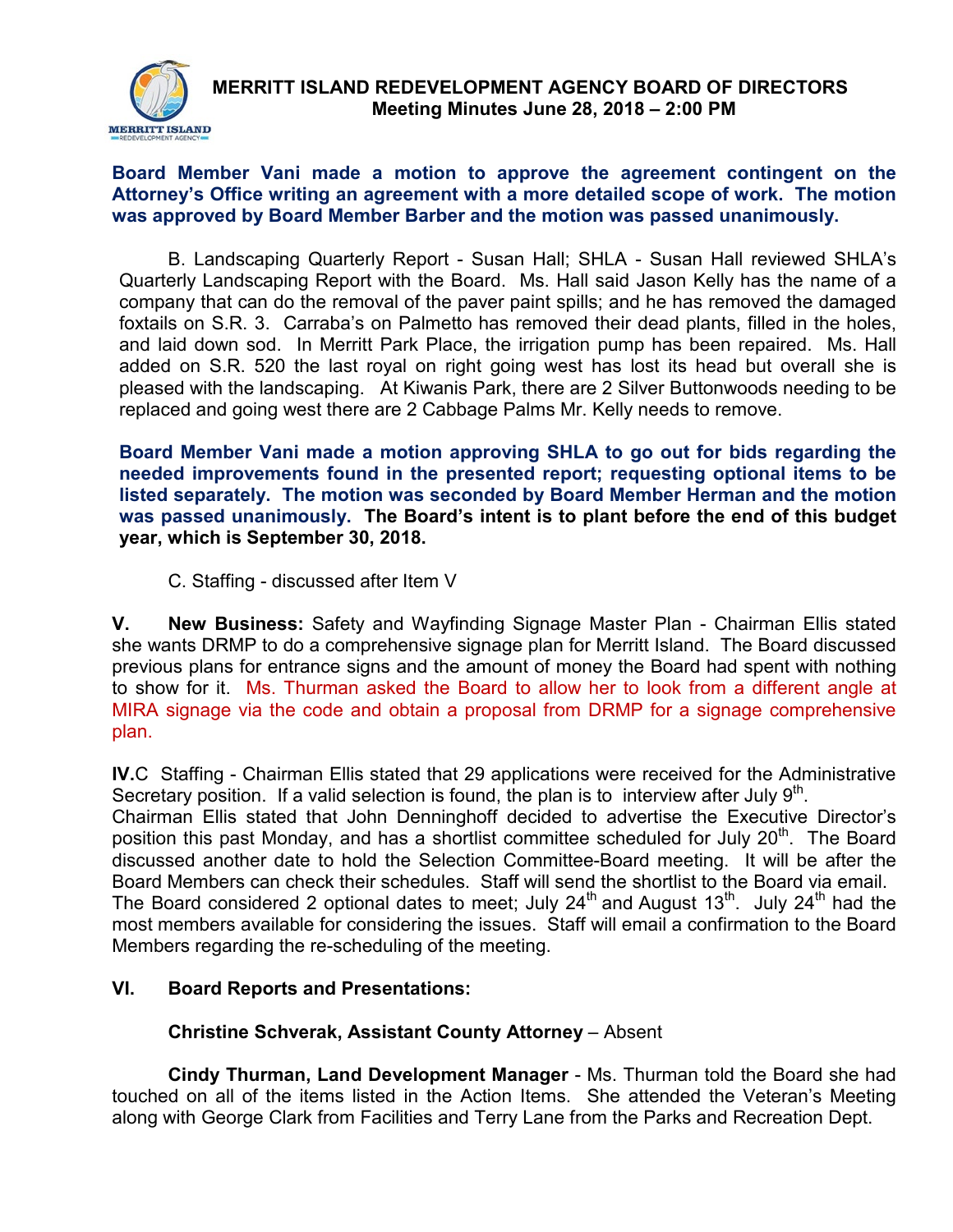

#### **Board Member Vani made a motion to approve the agreement contingent on the Attorney's Office writing an agreement with a more detailed scope of work. The motion was approved by Board Member Barber and the motion was passed unanimously.**

B. Landscaping Quarterly Report - Susan Hall; SHLA - Susan Hall reviewed SHLA's Quarterly Landscaping Report with the Board. Ms. Hall said Jason Kelly has the name of a company that can do the removal of the paver paint spills; and he has removed the damaged foxtails on S.R. 3. Carraba's on Palmetto has removed their dead plants, filled in the holes, and laid down sod. In Merritt Park Place, the irrigation pump has been repaired. Ms. Hall added on S.R. 520 the last royal on right going west has lost its head but overall she is pleased with the landscaping. At Kiwanis Park, there are 2 Silver Buttonwoods needing to be replaced and going west there are 2 Cabbage Palms Mr. Kelly needs to remove.

**Board Member Vani made a motion approving SHLA to go out for bids regarding the needed improvements found in the presented report; requesting optional items to be listed separately. The motion was seconded by Board Member Herman and the motion was passed unanimously. The Board's intent is to plant before the end of this budget year, which is September 30, 2018.**

C. Staffing - discussed after Item V

**V. New Business:** Safety and Wayfinding Signage Master Plan - Chairman Ellis stated she wants DRMP to do a comprehensive signage plan for Merritt Island. The Board discussed previous plans for entrance signs and the amount of money the Board had spent with nothing to show for it. Ms. Thurman asked the Board to allow her to look from a different angle at MIRA signage via the code and obtain a proposal from DRMP for a signage comprehensive plan.

**IV.**C Staffing - Chairman Ellis stated that 29 applications were received for the Administrative Secretary position. If a valid selection is found, the plan is to interview after July  $9<sup>th</sup>$ . Chairman Ellis stated that John Denninghoff decided to advertise the Executive Director's position this past Monday, and has a shortlist committee scheduled for July 20<sup>th</sup>. The Board discussed another date to hold the Selection Committee-Board meeting. It will be after the Board Members can check their schedules. Staff will send the shortlist to the Board via email. The Board considered 2 optional dates to meet; July  $24^{th}$  and August 13<sup>th</sup>. July  $24^{th}$  had the most members available for considering the issues. Staff will email a confirmation to the Board Members regarding the re-scheduling of the meeting.

### **VI. Board Reports and Presentations:**

### **Christine Schverak, Assistant County Attorney** – Absent

**Cindy Thurman, Land Development Manager** - Ms. Thurman told the Board she had touched on all of the items listed in the Action Items. She attended the Veteran's Meeting along with George Clark from Facilities and Terry Lane from the Parks and Recreation Dept.